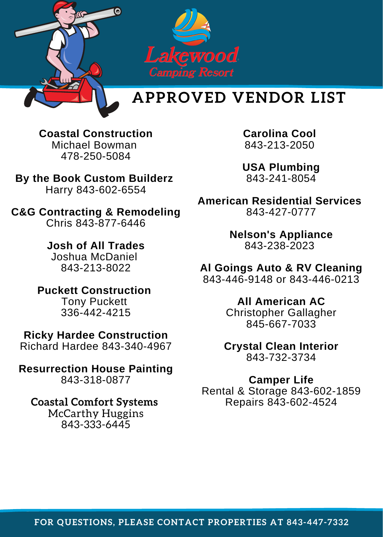

## **APPROVED VENDOR LIST**

**Coastal Construction** Michael Bowman 478-250-5084

**By the Book Custom Builderz** Harry 843-602-6554

**C&G Contracting & Remodeling** Chris 843-877-6446

> **Josh of All Trades** Joshua McDaniel 843-213-8022

**Puckett Construction** Tony Puckett 336-442-4215

**Ricky Hardee Construction** Richard Hardee 843-340-4967

**Resurrection House Painting** 843-318-0877

**Coastal Comfort Systems**

McCarthy Huggins 843-333-6445

**Carolina Cool** 843-213-2050

**USA Plumbing** 843-241-8054

**American Residential Services** 843-427-0777

> **Nelson's Appliance** 843-238-2023

**Al Goings Auto & RV Cleaning** 843-446-9148 or 843-446-0213

> **All American AC** Christopher Gallagher 845-667-7033

**Crystal Clean Interior** 843-732-3734

**Camper Life** Rental & Storage 843-602-1859 Repairs 843-602-4524